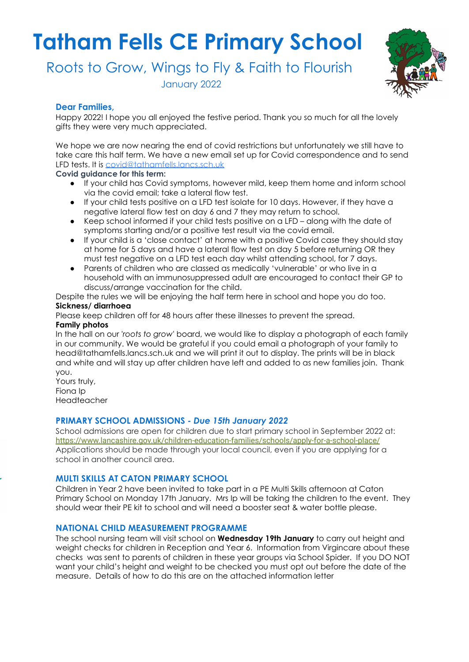# **Tatham Fells CE Primary School**

Roots to Grow, Wings to Fly & Faith to Flourish

January 2022



# **Dear Families,**

Happy 2022! I hope you all enjoyed the festive period. Thank you so much for all the lovely gifts they were very much appreciated.

We hope we are now nearing the end of covid restrictions but unfortunately we still have to take care this half term. We have a new email set up for Covid correspondence and to send LFD tests. It is covid@tathamfells.lancs.sch.uk

**Covid guidance for this term:**

- If your child has Covid symptoms, however mild, keep them home and inform school via the covid email; take a lateral flow test.
- If your child tests positive on a LFD test isolate for 10 days. However, if they have a negative lateral flow test on day 6 and 7 they may return to school.
- Keep school informed if your child tests positive on a LFD along with the date of symptoms starting and/or a positive test result via the covid email.
- If your child is a 'close contact' at home with a positive Covid case they should stay at home for 5 days and have a lateral flow test on day 5 before returning OR they must test negative on a LFD test each day whilst attending school, for 7 days.
- Parents of children who are classed as medically 'vulnerable' or who live in a household with an immunosuppressed adult are encouraged to contact their GP to discuss/arrange vaccination for the child.

Despite the rules we will be enjoying the half term here in school and hope you do too.

### **Sickness/ diarrhoea**

Please keep children off for 48 hours after these illnesses to prevent the spread.

# **Family photos**

In the hall on our '*roots to grow*' board, we would like to display a photograph of each family in our community. We would be grateful if you could email a photograph of your family to head@tathamfells.lancs.sch.uk and we will print it out to display. The prints will be in black and white and will stay up after children have left and added to as new families join. Thank you.

Yours truly, Fiona Ip Headteacher

# **PRIMARY SCHOOL ADMISSIONS -** *Due 15th January 2022*

School admissions are open for children due to start primary school in September 2022 at: <https://www.lancashire.gov.uk/children-education-families/schools/apply-for-a-school-place/> Applications should be made through your local council, even if you are applying for a school in another council area.

### **MULTI SKILLS AT CATON PRIMARY SCHOOL**

Children in Year 2 have been invited to take part in a PE Multi Skills afternoon at Caton Primary School on Monday 17th January. Mrs Ip will be taking the children to the event. They should wear their PE kit to school and will need a booster seat & water bottle please.

### **NATIONAL CHILD MEASUREMENT PROGRAMME**

The school nursing team will visit school on **Wednesday 19th January** to carry out height and weight checks for children in Reception and Year 6. Information from Virgincare about these checks was sent to parents of children in these year groups via School Spider. If you DO NOT want your child's height and weight to be checked you must opt out before the date of the measure. Details of how to do this are on the attached information letter